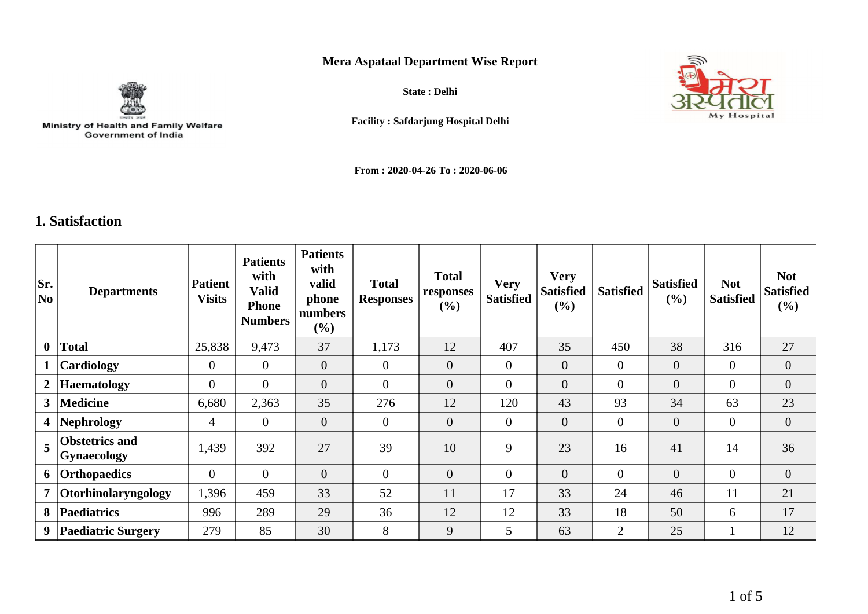## **Mera Aspataal Department Wise Report**



Ministry of Health and Family Welfare<br>Government of India

**State : Delhi**



**Facility : Safdarjung Hospital Delhi**

**From : 2020-04-26 To : 2020-06-06**

## **1. Satisfaction**

| Sr.<br>No               | <b>Departments</b>                          | <b>Patient</b><br><b>Visits</b> | <b>Patients</b><br>with<br>Valid<br><b>Phone</b><br><b>Numbers</b> | <b>Patients</b><br>with<br>valid<br>phone<br>numbers<br>$(\%)$ | <b>Total</b><br><b>Responses</b> | <b>Total</b><br>responses<br>(%) | <b>Very</b><br><b>Satisfied</b> | <b>Very</b><br><b>Satisfied</b><br>$(\%)$ | <b>Satisfied</b> | <b>Satisfied</b><br>(%) | <b>Not</b><br><b>Satisfied</b> | <b>Not</b><br><b>Satisfied</b><br>$(\%)$ |
|-------------------------|---------------------------------------------|---------------------------------|--------------------------------------------------------------------|----------------------------------------------------------------|----------------------------------|----------------------------------|---------------------------------|-------------------------------------------|------------------|-------------------------|--------------------------------|------------------------------------------|
| $\mathbf{0}$            | <b>Total</b>                                | 25,838                          | 9,473                                                              | 37                                                             | 1,173                            | 12                               | 407                             | 35                                        | 450              | 38                      | 316                            | 27                                       |
| $\mathbf{1}$            | Cardiology                                  | $\overline{0}$                  | $\theta$                                                           | $\overline{0}$                                                 | $\theta$                         | $\overline{0}$                   | $\overline{0}$                  | $\mathbf{0}$                              | $\overline{0}$   | $\overline{0}$          | $\overline{0}$                 | $\overline{0}$                           |
| $2\vert$                | <b>Haematology</b>                          | $\mathbf{0}$                    | $\overline{0}$                                                     | $\overline{0}$                                                 | $\boldsymbol{0}$                 | $\overline{0}$                   | $\mathbf{0}$                    | $\overline{0}$                            | $\overline{0}$   | $\overline{0}$          | $\mathbf{0}$                   | $\overline{0}$                           |
| 3 <sup>1</sup>          | <b>Medicine</b>                             | 6,680                           | 2,363                                                              | 35                                                             | 276                              | 12                               | 120                             | 43                                        | 93               | 34                      | 63                             | 23                                       |
| $\overline{\mathbf{4}}$ | Nephrology                                  | 4                               | $\theta$                                                           | $\overline{0}$                                                 | $\overline{0}$                   | $\overline{0}$                   | $\overline{0}$                  | $\mathbf{0}$                              | $\overline{0}$   | $\overline{0}$          | $\mathbf{0}$                   | $\overline{0}$                           |
| 5                       | <b>Obstetrics and</b><br><b>Gynaecology</b> | 1,439                           | 392                                                                | 27                                                             | 39                               | 10                               | 9                               | 23                                        | 16               | 41                      | 14                             | 36                                       |
| 6                       | <b>Orthopaedics</b>                         | $\overline{0}$                  | $\Omega$                                                           | $\overline{0}$                                                 | $\overline{0}$                   | $\overline{0}$                   | $\mathbf{0}$                    | $\overline{0}$                            | $\overline{0}$   | $\overline{0}$          | $\overline{0}$                 | $\overline{0}$                           |
| $\overline{7}$          | Otorhinolaryngology                         | 1,396                           | 459                                                                | 33                                                             | 52                               | 11                               | 17                              | 33                                        | 24               | 46                      | 11                             | 21                                       |
| 8                       | <b>Paediatrics</b>                          | 996                             | 289                                                                | 29                                                             | 36                               | 12                               | 12                              | 33                                        | 18               | 50                      | 6                              | 17                                       |
| 9                       | <b>Paediatric Surgery</b>                   | 279                             | 85                                                                 | 30                                                             | 8                                | 9                                | 5                               | 63                                        | $\overline{2}$   | 25                      |                                | 12                                       |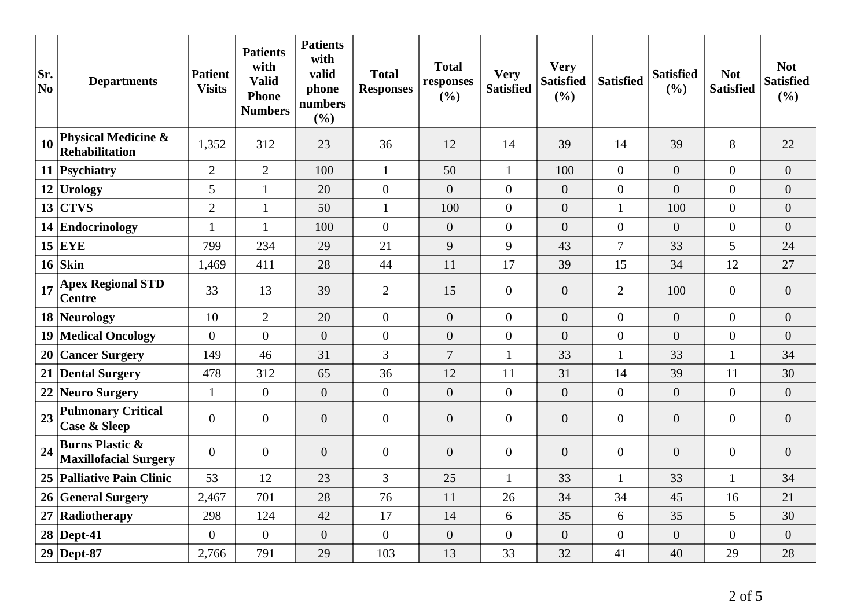| Sr.<br>No | <b>Departments</b>                                         | Patient<br><b>Visits</b> | <b>Patients</b><br>with<br><b>Valid</b><br><b>Phone</b><br><b>Numbers</b> | <b>Patients</b><br>with<br>valid<br>phone<br>numbers<br>(%) | <b>Total</b><br><b>Responses</b> | <b>Total</b><br>responses<br>(%) | <b>Very</b><br><b>Satisfied</b> | <b>Very</b><br><b>Satisfied</b><br>(%) | <b>Satisfied</b> | <b>Satisfied</b><br>(%) | <b>Not</b><br><b>Satisfied</b> | <b>Not</b><br><b>Satisfied</b><br>(%) |
|-----------|------------------------------------------------------------|--------------------------|---------------------------------------------------------------------------|-------------------------------------------------------------|----------------------------------|----------------------------------|---------------------------------|----------------------------------------|------------------|-------------------------|--------------------------------|---------------------------------------|
| 10        | <b>Physical Medicine &amp;</b><br>Rehabilitation           | 1,352                    | 312                                                                       | 23                                                          | 36                               | 12                               | 14                              | 39                                     | 14               | 39                      | 8                              | 22                                    |
| 11        | Psychiatry                                                 | $\overline{2}$           | $\overline{2}$                                                            | 100                                                         | $\mathbf{1}$                     | 50                               | $\mathbf{1}$                    | 100                                    | $\overline{0}$   | $\overline{0}$          | $\Omega$                       | $\overline{0}$                        |
|           | $12$ Urology                                               | 5                        | $\mathbf{1}$                                                              | 20                                                          | $\boldsymbol{0}$                 | $\overline{0}$                   | $\overline{0}$                  | $\boldsymbol{0}$                       | $\overline{0}$   | $\overline{0}$          | $\overline{0}$                 | $\boldsymbol{0}$                      |
| 13        | <b>CTVS</b>                                                | $\overline{2}$           | $\mathbf{1}$                                                              | 50                                                          | $\mathbf{1}$                     | 100                              | $\boldsymbol{0}$                | $\boldsymbol{0}$                       | $\mathbf{1}$     | 100                     | $\overline{0}$                 | $\overline{0}$                        |
|           | 14 Endocrinology                                           | 1                        | $\mathbf{1}$                                                              | 100                                                         | $\theta$                         | $\overline{0}$                   | $\overline{0}$                  | $\overline{0}$                         | $\boldsymbol{0}$ | $\overline{0}$          | $\overline{0}$                 | $\overline{0}$                        |
|           | $15$ EYE                                                   | 799                      | 234                                                                       | 29                                                          | 21                               | 9                                | 9                               | 43                                     | $\overline{7}$   | 33                      | 5                              | 24                                    |
|           | $16$ Skin                                                  | 1,469                    | 411                                                                       | 28                                                          | 44                               | 11                               | 17                              | 39                                     | 15               | 34                      | 12                             | 27                                    |
| 17        | <b>Apex Regional STD</b><br><b>Centre</b>                  | 33                       | 13                                                                        | 39                                                          | $\overline{2}$                   | 15                               | $\boldsymbol{0}$                | $\boldsymbol{0}$                       | $\overline{2}$   | 100                     | $\boldsymbol{0}$               | $\overline{0}$                        |
|           | 18 Neurology                                               | 10                       | $\overline{2}$                                                            | 20                                                          | $\overline{0}$                   | $\overline{0}$                   | $\overline{0}$                  | $\overline{0}$                         | $\overline{0}$   | $\overline{0}$          | $\overline{0}$                 | $\overline{0}$                        |
|           | 19 Medical Oncology                                        | $\overline{0}$           | $\overline{0}$                                                            | $\overline{0}$                                              | $\overline{0}$                   | $\overline{0}$                   | $\overline{0}$                  | $\overline{0}$                         | $\overline{0}$   | $\overline{0}$          | $\overline{0}$                 | $\overline{0}$                        |
|           | 20 Cancer Surgery                                          | 149                      | 46                                                                        | 31                                                          | 3                                | $\overline{7}$                   | $\mathbf{1}$                    | 33                                     | $\mathbf{1}$     | 33                      | $\mathbf{1}$                   | 34                                    |
|           | 21 Dental Surgery                                          | 478                      | 312                                                                       | 65                                                          | 36                               | 12                               | 11                              | 31                                     | 14               | 39                      | 11                             | 30                                    |
| 22        | Neuro Surgery                                              | $\mathbf{1}$             | $\overline{0}$                                                            | $\overline{0}$                                              | $\overline{0}$                   | $\overline{0}$                   | $\overline{0}$                  | $\overline{0}$                         | $\overline{0}$   | $\overline{0}$          | $\overline{0}$                 | $\overline{0}$                        |
| 23        | <b>Pulmonary Critical</b><br><b>Case &amp; Sleep</b>       | $\boldsymbol{0}$         | $\overline{0}$                                                            | $\boldsymbol{0}$                                            | $\overline{0}$                   | $\overline{0}$                   | $\overline{0}$                  | $\boldsymbol{0}$                       | $\overline{0}$   | $\overline{0}$          | $\overline{0}$                 | $\overline{0}$                        |
| 24        | <b>Burns Plastic &amp;</b><br><b>Maxillofacial Surgery</b> | $\overline{0}$           | $\overline{0}$                                                            | $\overline{0}$                                              | $\overline{0}$                   | $\overline{0}$                   | $\mathbf{0}$                    | $\overline{0}$                         | $\overline{0}$   | $\overline{0}$          | $\overline{0}$                 | $\overline{0}$                        |
|           | 25 Palliative Pain Clinic                                  | 53                       | 12                                                                        | 23                                                          | $\overline{3}$                   | 25                               | $\mathbf{1}$                    | 33                                     | $\mathbf{1}$     | 33                      | $\mathbf{1}$                   | 34                                    |
|           | 26 General Surgery                                         | 2,467                    | 701                                                                       | 28                                                          | 76                               | 11                               | 26                              | 34                                     | 34               | 45                      | 16                             | 21                                    |
| 27        | Radiotherapy                                               | 298                      | 124                                                                       | 42                                                          | 17                               | 14                               | 6                               | 35                                     | 6                | 35                      | 5                              | 30                                    |
|           | $28$ Dept-41                                               | $\overline{0}$           | $\overline{0}$                                                            | $\overline{0}$                                              | $\overline{0}$                   | $\overline{0}$                   | $\overline{0}$                  | $\overline{0}$                         | $\overline{0}$   | $\overline{0}$          | $\overline{0}$                 | $\overline{0}$                        |
|           | $29$ Dept-87                                               | 2,766                    | 791                                                                       | 29                                                          | 103                              | 13                               | 33                              | 32                                     | 41               | 40                      | 29                             | 28                                    |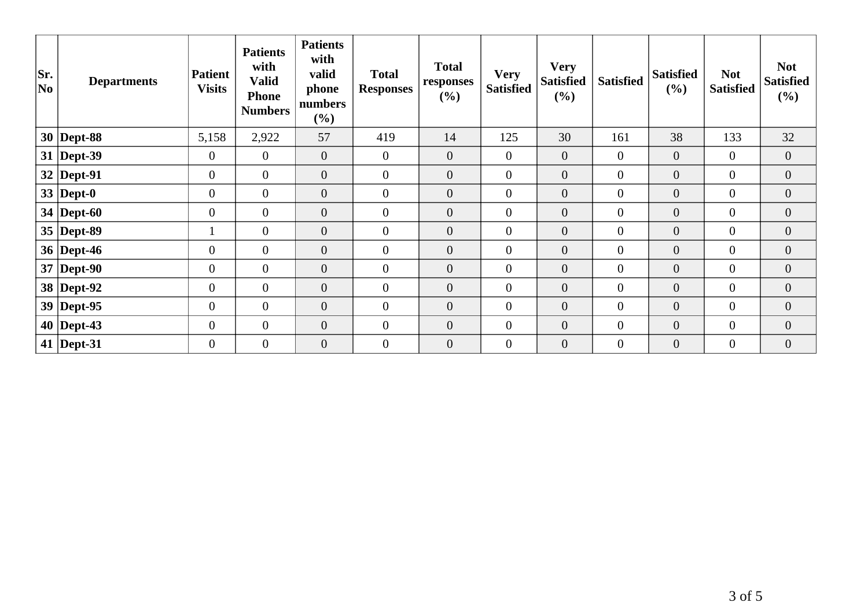| Sr.<br>No | <b>Departments</b> | <b>Patient</b><br><b>Visits</b> | <b>Patients</b><br>with<br><b>Valid</b><br><b>Phone</b><br><b>Numbers</b> | <b>Patients</b><br>with<br>valid<br>phone<br>numbers<br>(%) | <b>Total</b><br><b>Responses</b> | <b>Total</b><br>responses<br>(%) | <b>Very</b><br><b>Satisfied</b> | <b>Very</b><br><b>Satisfied</b><br>(%) | <b>Satisfied</b> | <b>Satisfied</b><br>(%) | <b>Not</b><br><b>Satisfied</b> | <b>Not</b><br><b>Satisfied</b><br>(%) |
|-----------|--------------------|---------------------------------|---------------------------------------------------------------------------|-------------------------------------------------------------|----------------------------------|----------------------------------|---------------------------------|----------------------------------------|------------------|-------------------------|--------------------------------|---------------------------------------|
|           | $30$ Dept-88       | 5,158                           | 2,922                                                                     | 57                                                          | 419                              | 14                               | 125                             | 30                                     | 161              | 38                      | 133                            | 32                                    |
|           | $31$ Dept-39       | $\mathbf{0}$                    | $\overline{0}$                                                            | $\mathbf{0}$                                                | $\mathbf{0}$                     | $\overline{0}$                   | $\mathbf{0}$                    | $\mathbf{0}$                           | $\overline{0}$   | $\overline{0}$          | $\overline{0}$                 | $\overline{0}$                        |
|           | $32$ Dept-91       | $\overline{0}$                  | $\overline{0}$                                                            | $\boldsymbol{0}$                                            | $\overline{0}$                   | $\overline{0}$                   | $\boldsymbol{0}$                | $\boldsymbol{0}$                       | $\overline{0}$   | $\boldsymbol{0}$        | $\overline{0}$                 | $\overline{0}$                        |
|           | 33   Dept-0        | $\boldsymbol{0}$                | $\overline{0}$                                                            | $\boldsymbol{0}$                                            | $\boldsymbol{0}$                 | $\boldsymbol{0}$                 | $\boldsymbol{0}$                | $\boldsymbol{0}$                       | $\overline{0}$   | $\boldsymbol{0}$        | $\boldsymbol{0}$               | $\overline{0}$                        |
|           | 34   Dept-60       | $\mathbf{0}$                    | $\overline{0}$                                                            | $\mathbf{0}$                                                | $\mathbf{0}$                     | $\overline{0}$                   | $\boldsymbol{0}$                | $\overline{0}$                         | $\overline{0}$   | $\boldsymbol{0}$        | $\overline{0}$                 | $\boldsymbol{0}$                      |
|           | $35$ Dept-89       | $\bf{I}$                        | $\overline{0}$                                                            | $\overline{0}$                                              | $\overline{0}$                   | $\overline{0}$                   | $\mathbf{0}$                    | $\boldsymbol{0}$                       | $\overline{0}$   | $\overline{0}$          | $\overline{0}$                 | $\overline{0}$                        |
|           | 36   Dept-46       | $\overline{0}$                  | $\overline{0}$                                                            | $\overline{0}$                                              | $\overline{0}$                   | $\overline{0}$                   | $\overline{0}$                  | $\overline{0}$                         | $\overline{0}$   | $\overline{0}$          | $\overline{0}$                 | $\overline{0}$                        |
|           | $37$ Dept-90       | $\overline{0}$                  | $\overline{0}$                                                            | $\theta$                                                    | $\mathbf{0}$                     | $\overline{0}$                   | $\mathbf{0}$                    | $\mathbf{0}$                           | $\overline{0}$   | $\boldsymbol{0}$        | $\overline{0}$                 | $\overline{0}$                        |
|           | 38 Dept-92         | $\boldsymbol{0}$                | $\overline{0}$                                                            | $\overline{0}$                                              | $\overline{0}$                   | $\overline{0}$                   | $\mathbf{0}$                    | $\boldsymbol{0}$                       | $\overline{0}$   | $\overline{0}$          | $\overline{0}$                 | $\overline{0}$                        |
|           | $39$ Dept-95       | $\mathbf{0}$                    | $\overline{0}$                                                            | $\mathbf{0}$                                                | $\mathbf{0}$                     | $\boldsymbol{0}$                 | $\boldsymbol{0}$                | $\overline{0}$                         | $\boldsymbol{0}$ | $\boldsymbol{0}$        | $\overline{0}$                 | $\boldsymbol{0}$                      |
|           | $40$ Dept-43       | $\overline{0}$                  | $\overline{0}$                                                            | $\boldsymbol{0}$                                            | $\mathbf{0}$                     | $\overline{0}$                   | $\boldsymbol{0}$                | $\boldsymbol{0}$                       | $\overline{0}$   | $\boldsymbol{0}$        | $\overline{0}$                 | $\overline{0}$                        |
|           | 41   Dept-31       | $\overline{0}$                  | $\overline{0}$                                                            | $\overline{0}$                                              | $\overline{0}$                   | $\overline{0}$                   | $\mathbf{0}$                    | $\overline{0}$                         | $\overline{0}$   | $\overline{0}$          | $\overline{0}$                 | $\overline{0}$                        |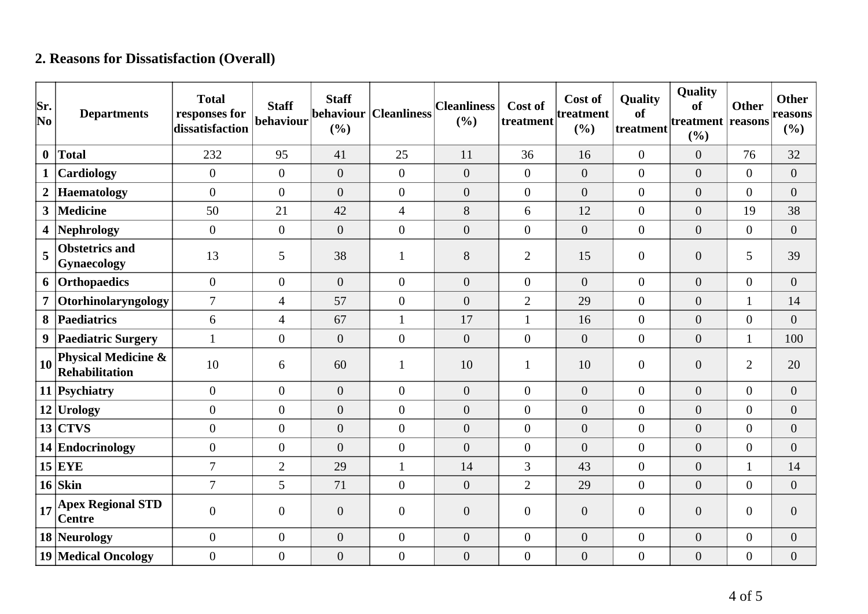## **2. Reasons for Dissatisfaction (Overall)**

| Sr.<br>$ N_{0} $ | <b>Departments</b>                                      | <b>Total</b><br>responses for<br>dissatisfaction | <b>Staff</b><br>behaviour | <b>Staff</b><br>behaviour<br>(%) | <b>Cleanliness</b> | <b>Cleanliness</b><br>(%) | Cost of<br>treatment | Cost of<br>treatment<br>(%) | <b>Quality</b><br>of<br>treatment | Quality<br>of<br>treatment reasons<br>(%) | <b>Other</b>     | <b>Other</b><br>reasons<br>$(\%)$ |
|------------------|---------------------------------------------------------|--------------------------------------------------|---------------------------|----------------------------------|--------------------|---------------------------|----------------------|-----------------------------|-----------------------------------|-------------------------------------------|------------------|-----------------------------------|
| $\mathbf{0}$     | <b>Total</b>                                            | 232                                              | 95                        | 41                               | 25                 | 11                        | 36                   | 16                          | $\boldsymbol{0}$                  | $\overline{0}$                            | 76               | 32                                |
| $\mathbf{1}$     | Cardiology                                              | $\overline{0}$                                   | $\overline{0}$            | $\boldsymbol{0}$                 | $\overline{0}$     | $\theta$                  | $\overline{0}$       | $\boldsymbol{0}$            | $\boldsymbol{0}$                  | $\overline{0}$                            | $\overline{0}$   | $\boldsymbol{0}$                  |
| $\overline{2}$   | <b>Haematology</b>                                      | $\Omega$                                         | $\overline{0}$            | $\overline{0}$                   | $\overline{0}$     | $\overline{0}$            | $\overline{0}$       | $\overline{0}$              | $\overline{0}$                    | $\overline{0}$                            | $\overline{0}$   | $\overline{0}$                    |
| 3 <sup>1</sup>   | <b>Medicine</b>                                         | 50                                               | 21                        | 42                               | $\overline{4}$     | $8\,$                     | 6                    | 12                          | $\boldsymbol{0}$                  | $\overline{0}$                            | 19               | 38                                |
| 4                | <b>Nephrology</b>                                       | $\overline{0}$                                   | $\overline{0}$            | $\overline{0}$                   | $\overline{0}$     | $\theta$                  | $\overline{0}$       | $\overline{0}$              | $\boldsymbol{0}$                  | $\overline{0}$                            | $\overline{0}$   | $\boldsymbol{0}$                  |
| 5                | <b>Obstetrics and</b><br><b>Gynaecology</b>             | 13                                               | 5                         | 38                               |                    | 8                         | $\overline{2}$       | 15                          | $\overline{0}$                    | $\overline{0}$                            | 5                | 39                                |
| 6                | Orthopaedics                                            | $\overline{0}$                                   | $\overline{0}$            | $\overline{0}$                   | $\overline{0}$     | $\theta$                  | $\overline{0}$       | $\overline{0}$              | $\boldsymbol{0}$                  | $\overline{0}$                            | $\overline{0}$   | $\overline{0}$                    |
| $\overline{7}$   | Otorhinolaryngology                                     | $\overline{7}$                                   | $\overline{4}$            | 57                               | $\overline{0}$     | $\overline{0}$            | $\overline{2}$       | 29                          | $\overline{0}$                    | $\overline{0}$                            | $\mathbf{1}$     | 14                                |
| 8                | Paediatrics                                             | 6                                                | $\overline{4}$            | 67                               | $\mathbf{1}$       | 17                        | $\mathbf{1}$         | 16                          | $\boldsymbol{0}$                  | $\overline{0}$                            | $\boldsymbol{0}$ | $\overline{0}$                    |
| 9                | <b>Paediatric Surgery</b>                               | $\mathbf{1}$                                     | $\boldsymbol{0}$          | $\overline{0}$                   | $\boldsymbol{0}$   | $\overline{0}$            | $\overline{0}$       | $\overline{0}$              | $\overline{0}$                    | $\overline{0}$                            | $\mathbf{1}$     | 100                               |
| 10               | <b>Physical Medicine &amp;</b><br><b>Rehabilitation</b> | 10                                               | 6                         | 60                               | $\mathbf{1}$       | 10                        | 1                    | 10                          | $\boldsymbol{0}$                  | $\overline{0}$                            | $\overline{2}$   | 20                                |
|                  | 11 Psychiatry                                           | $\overline{0}$                                   | $\overline{0}$            | $\overline{0}$                   | $\overline{0}$     | $\overline{0}$            | $\overline{0}$       | $\overline{0}$              | $\overline{0}$                    | $\overline{0}$                            | $\overline{0}$   | $\overline{0}$                    |
|                  | $12$ Urology                                            | $\Omega$                                         | $\overline{0}$            | $\overline{0}$                   | $\overline{0}$     | $\overline{0}$            | $\overline{0}$       | $\overline{0}$              | $\overline{0}$                    | $\overline{0}$                            | $\overline{0}$   | $\overline{0}$                    |
|                  | $13$ CTVS                                               | $\overline{0}$                                   | $\overline{0}$            | $\boldsymbol{0}$                 | $\overline{0}$     | $\overline{0}$            | $\overline{0}$       | $\overline{0}$              | $\overline{0}$                    | $\overline{0}$                            | $\boldsymbol{0}$ | $\boldsymbol{0}$                  |
|                  | 14 Endocrinology                                        | $\overline{0}$                                   | $\overline{0}$            | $\overline{0}$                   | $\overline{0}$     | $\theta$                  | $\overline{0}$       | $\overline{0}$              | $\overline{0}$                    | $\overline{0}$                            | $\boldsymbol{0}$ | $\overline{0}$                    |
|                  | $15$ EYE                                                | $\overline{7}$                                   | $\overline{2}$            | 29                               | $\mathbf{1}$       | 14                        | 3                    | 43                          | $\overline{0}$                    | $\overline{0}$                            | $\mathbf{1}$     | 14                                |
|                  | $16$ Skin                                               | $\overline{7}$                                   | 5                         | 71                               | $\overline{0}$     | $\theta$                  | $\overline{2}$       | 29                          | $\overline{0}$                    | $\overline{0}$                            | $\overline{0}$   | $\overline{0}$                    |
| 17               | <b>Apex Regional STD</b><br><b>Centre</b>               | $\theta$                                         | $\overline{0}$            | $\boldsymbol{0}$                 | $\overline{0}$     | $\boldsymbol{0}$          | $\overline{0}$       | $\boldsymbol{0}$            | $\overline{0}$                    | $\overline{0}$                            | $\boldsymbol{0}$ | $\boldsymbol{0}$                  |
|                  | 18 Neurology                                            | $\overline{0}$                                   | $\boldsymbol{0}$          | $\boldsymbol{0}$                 | $\boldsymbol{0}$   | $\boldsymbol{0}$          | $\overline{0}$       | $\boldsymbol{0}$            | $\overline{0}$                    | $\boldsymbol{0}$                          | $\boldsymbol{0}$ | $\boldsymbol{0}$                  |
|                  | <b>19 Medical Oncology</b>                              | $\overline{0}$                                   | $\boldsymbol{0}$          | $\boldsymbol{0}$                 | $\overline{0}$     | $\boldsymbol{0}$          | $\overline{0}$       | $\boldsymbol{0}$            | $\boldsymbol{0}$                  | $\boldsymbol{0}$                          | $\boldsymbol{0}$ | $\boldsymbol{0}$                  |